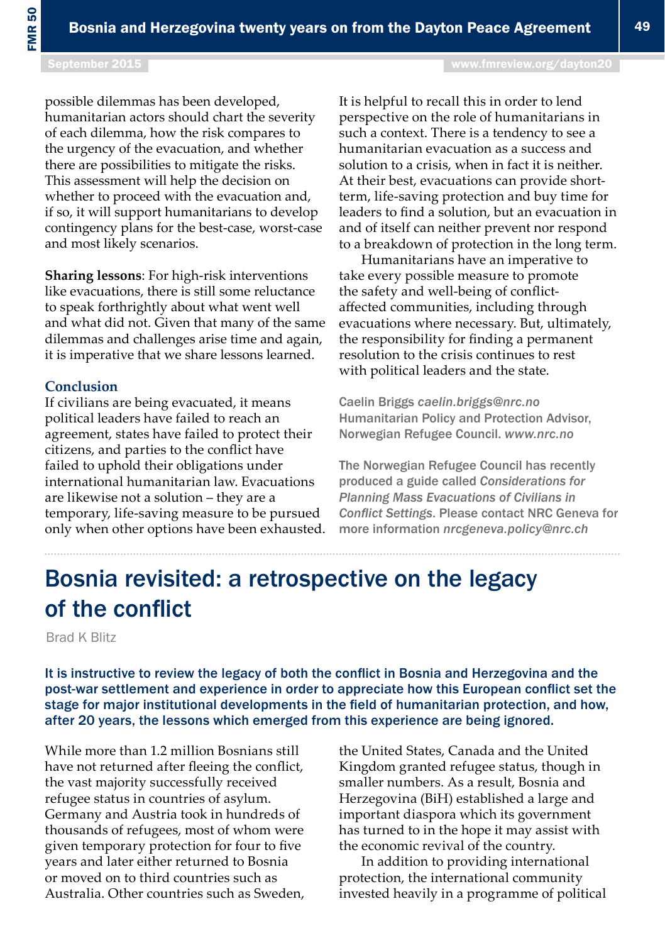## Bosnia revisited: a retrospective on the legacy of the conflict

Brad K Blitz

It is instructive to review the legacy of both the conflict in Bosnia and Herzegovina and the post-war settlement and experience in order to appreciate how this European conflict set the stage for major institutional developments in the field of humanitarian protection, and how, after 20 years, the lessons which emerged from this experience are being ignored.

While more than 1.2 million Bosnians still have not returned after fleeing the conflict, the vast majority successfully received refugee status in countries of asylum. Germany and Austria took in hundreds of thousands of refugees, most of whom were given temporary protection for four to five years and later either returned to Bosnia or moved on to third countries such as Australia. Other countries such as Sweden, the United States, Canada and the United Kingdom granted refugee status, though in smaller numbers. As a result, Bosnia and Herzegovina (BiH) established a large and important diaspora which its government has turned to in the hope it may assist with the economic revival of the country.

In addition to providing international protection, the international community invested heavily in a programme of political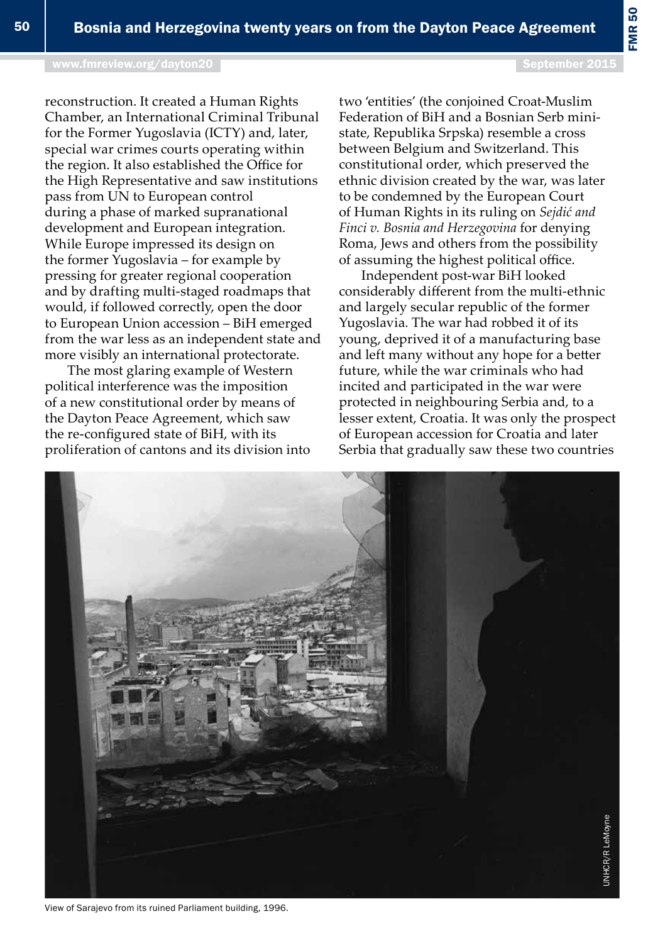FMR 50

reconstruction. It created a Human Rights Chamber, an International Criminal Tribunal for the Former Yugoslavia (ICTY) and, later, special war crimes courts operating within the region. It also established the Office for the High Representative and saw institutions pass from UN to European control during a phase of marked supranational development and European integration. While Europe impressed its design on the former Yugoslavia – for example by pressing for greater regional cooperation and by drafting multi-staged roadmaps that would, if followed correctly, open the door to European Union accession – BiH emerged from the war less as an independent state and more visibly an international protectorate.

The most glaring example of Western political interference was the imposition of a new constitutional order by means of the Dayton Peace Agreement, which saw the re-configured state of BiH, with its proliferation of cantons and its division into two 'entities' (the conjoined Croat-Muslim Federation of BiH and a Bosnian Serb ministate, Republika Srpska) resemble a cross between Belgium and Switzerland. This constitutional order, which preserved the ethnic division created by the war, was later to be condemned by the European Court of Human Rights in its ruling on *Sejdić and Finci v. Bosnia and Herzegovina* for denying Roma, Jews and others from the possibility of assuming the highest political office.

Independent post-war BiH looked considerably different from the multi-ethnic and largely secular republic of the former Yugoslavia. The war had robbed it of its young, deprived it of a manufacturing base and left many without any hope for a better future, while the war criminals who had incited and participated in the war were protected in neighbouring Serbia and, to a lesser extent, Croatia. It was only the prospect of European accession for Croatia and later Serbia that gradually saw these two countries



View of Sarajevo from its ruined Parliament building, 1996.